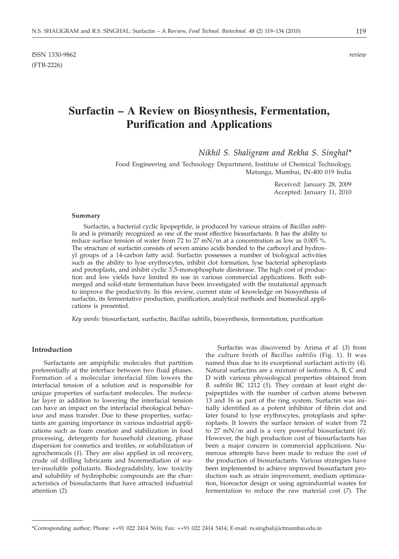# **Surfactin – A Review on Biosynthesis, Fermentation, Purification and Applications**

*Nikhil S. Shaligram and Rekha S. Singhal\**

Food Engineering and Technology Department, Institute of Chemical Technology, Matunga, Mumbai, IN-400 019 India

> Received: January 28, 2009 Accepted: January 11, 2010

#### **Summary**

Surfactin, a bacterial cyclic lipopeptide, is produced by various strains of *Bacillus subtilis* and is primarily recognized as one of the most effective biosurfactants. It has the ability to reduce surface tension of water from 72 to 27 mN/m at a concentration as low as 0.005 %. The structure of surfactin consists of seven amino acids bonded to the carboxyl and hydroxyl groups of a 14-carbon fatty acid. Surfactin possesses a number of biological activities such as the ability to lyse erythrocytes, inhibit clot formation, lyse bacterial spheroplasts and protoplasts, and inhibit cyclic 3,5-monophosphate diesterase. The high cost of production and low yields have limited its use in various commercial applications. Both submerged and solid-state fermentation have been investigated with the mutational approach to improve the productivity. In this review, current state of knowledge on biosynthesis of surfactin, its fermentative production, purification, analytical methods and biomedical applications is presented.

*Key words:* biosurfactant, surfactin, *Bacillus subtilis*, biosynthesis, fermentation, purification

## **Introduction**

Surfactants are ampiphilic molecules that partition preferentially at the interface between two fluid phases. Formation of a molecular interfacial film lowers the interfacial tension of a solution and is responsible for unique properties of surfactant molecules. The molecular layer in addition to lowering the interfacial tension can have an impact on the interfacial rheological behaviour and mass transfer. Due to these properties, surfactants are gaining importance in various industrial applications such as foam creation and stabilization in food processing, detergents for household cleaning, phase dispersion for cosmetics and textiles, or solubilization of agrochemicals (*1*). They are also applied in oil recovery, crude oil drilling lubricants and bioremediation of water-insoluble pollutants. Biodegradability, low toxicity and solubility of hydrophobic compounds are the characteristics of biosufactants that have attracted industrial attention (*2*).

Surfactin was discovered by Arima *et al.* (*3*) from the culture broth of *Bacillus subtilis* (Fig. 1). It was named thus due to its exceptional surfactant activity (*4*). Natural surfactins are a mixture of isoforms A, B, C and D with various physiological properties obtained from *B. subtilis* BC 1212 (*5*). They contain at least eight depsipeptides with the number of carbon atoms between 13 and 16 as part of the ring system. Surfactin was initially identified as a potent inhibitor of fibrin clot and later found to lyse erythrocytes, protoplasts and spheroplasts. It lowers the surface tension of water from 72 to 27 mN/m and is a very powerful biosurfactant (*6*). However, the high production cost of biosurfactants has been a major concern in commercial applications. Numerous attempts have been made to reduce the cost of the production of biosurfactants. Various strategies have been implemented to achieve improved biosurfactant production such as strain improvement, medium optimization, bioreactor design or using agroindustrial wastes for fermentation to reduce the raw material cost (*7*). The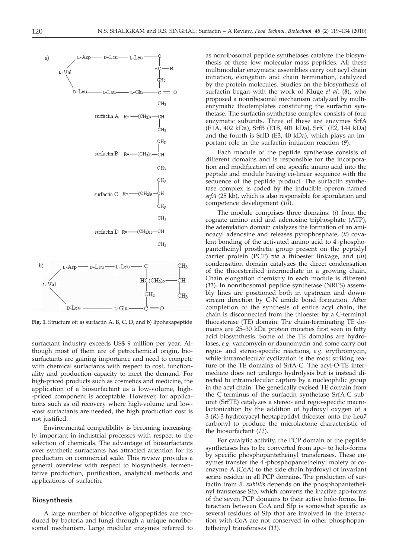a) D-Leu-∙ ī.-Leu нċ Ð L-Val  $\rm{CH}_2$ n-Leu  $c = o$ - L-Glu t -Leu CH3 surfactin A  $R =$  -  $(CH_2)$ ? ĊН ċн3 CH3 surfactin  $B$   $R =$   $-(CH<sub>2</sub>)<sub>8</sub>$ . ċн ċн, CH<sub>3</sub>  $-CH<sub>2</sub>)<sub>9</sub>$ ŻН surfactin  $C$  R=-ĊН3 CH3 surfactin D R=-(CH2)10 ċн ċн, b) L-Leu L-Asp  $D$ -Leu  $HC(CH<sub>2</sub>)$ و ĊН L-Val  $\rm \dot{CH_{2}}$ ĊH3 n-Leu L-Glu Ċ=

**Fig. 1.** Structure of: a) surfactin A, B, C, D, and b) lipohexapeptide

surfactant industry exceeds US\$ 9 million per year. Although most of them are of petrochemical origin, biosurfactants are gaining importance and need to compete with chemical surfactants with respect to cost, functionality and production capacity to meet the demand. For high-priced products such as cosmetics and medicine, the application of a biosurfactant as a low-volume, high- -priced component is acceptable. However, for applications such as oil recovery where high-volume and low- -cost surfactants are needed, the high production cost is not justified.

Environmental compatibility is becoming increasingly important in industrial processes with respect to the selection of chemicals. The advantage of biosurfactants over synthetic surfactants has attracted attention for its production on commercial scale. This review provides a general overview with respect to biosynthesis, fermentative production, purification, analytical methods and applications of surfactin.

### **Biosynthesis**

A large number of bioactive oligopeptides are produced by bacteria and fungi through a unique nonribosomal mechanism. Large modular enzymes referred to

as nonribosomal peptide synthetases catalyze the biosynthesis of these low molecular mass peptides. All these multimodular enzymatic assemblies carry out acyl chain initiation, elongation and chain termination, catalyzed by the protein molecules. Studies on the biosynthesis of surfactin began with the work of Kluge *et al.* (*8*), who proposed a nonribosomal mechanism catalyzed by multienzymatic thiotemplates constituting the surfactin synthetase. The surfactin synthetase complex consists of four enzymatic subunits. Three of these are enzymes SrfA (E1A, 402 kDa), SrfB (E1B, 401 kDa), SrfC (E2, 144 kDa) and the fourth is SrfD (E3, 40 kDa), which plays an important role in the surfactin initiation reaction (*9*).

Each module of the peptide synthetase consists of different domains and is responsible for the incorporation and modification of one specific amino acid into the peptide and module having co-linear sequence with the sequence of the peptide product. The surfactin synthetase complex is coded by the inducible operon named *srfA* (25 kb), which is also responsible for sporulation and competence development (*10*).

The module comprises three domains: (*i*) from the cognate amino acid and adenosine triphosphate (ATP), the adenylation domain catalyzes the formation of an aminoacyl adenosine and releases pyrophosphate, (*ii*) covalent bonding of the activated amino acid to 4'-phosphopantetheinyl prosthetic group present on the peptidyl carrier protein (PCP) *via* a thioester linkage, and (*iii*) condensation domain catalyzes the direct condensation of the thioesterified intermediate in a growing chain. Chain elongation chemistry in each module is different (*11*). In nonribosomal peptide synthetase (NRPS) assembly lines are positioned both in upstream and downstream direction by C-N amide bond formation. After completion of the synthesis of entire acyl chain, the chain is disconnected from the thioester by a C-terminal thioesterase (TE) domain. The chain-terminating TE domains are 25–30 kDa protein moieties first seen in fatty acid biosynthesis. Some of the TE domains are hydrolases, *e.g.* vancomycin or daunomycin and some carry out regio- and stereo-specific reactions, *e.g.* erythromycin, while intramolecular cyclization is the most striking feature of the TE domains of SrfA-C. The acyl-O-TE intermediate does not undergo hydrolysis but is instead directed to intramolecular capture by a nucleophilic group in the acyl chain. The genetically excised TE domain from the C-terminus of the surfactin synthetase SrfA-C subunit (SrfTE) catalyzes a stereo- and regio-specific macrolactonization by the addition of hydroxyl oxygen of a 3-(*R*)-3-hydroxyacyl heptapeptidyl thioester onto the Leu7 carbonyl to produce the microlactone characteristic of the biosurfactant (*12*).

For catalytic activity, the PCP domain of the peptide synthetases has to be converted from apo- to holo-forms by specific phosphopantetheinyl transferases. These enzymes transfer the 4'-phosphopantetheinyl moiety of coenzyme A (CoA) to the side chain hydroxyl of invariant serine residue in all PCP domains. The production of surfactin from *B. subtilis* depends on the phosphopantetheinyl transferase Sfp, which converts the inactive apo-forms of the seven PCP domains to their active holo-forms. Interaction between CoA and Sfp is somewhat specific as several residues of Sfp that are involved in the interaction with CoA are not conserved in other phosphopantetheinyl transferases (*11*).



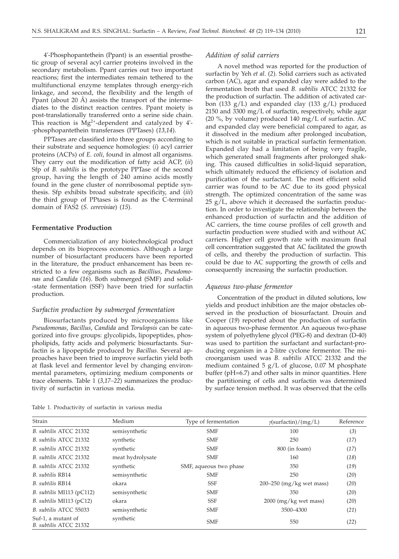4'-Phosphopantethein (Ppant) is an essential prosthetic group of several acyl carrier proteins involved in the secondary metabolism. Ppant carries out two important reactions; first the intermediates remain tethered to the multifunctional enzyme templates through energy-rich linkage, and second, the flexibility and the length of Ppant (about 20 Å) assists the transport of the intermediates to the distinct reaction centres. Ppant moiety is post-translationally transferred onto a serine side chain. This reaction is  $Mg^{2+}$ -dependent and catalyzed by 4'--phosphopantethein transferases (PPTases) (*13,14*).

PPTases are classified into three groups according to their substrate and sequence homologies: (*i*) acyl carrier proteins (ACPs) of *E. coli*, found in almost all organisms. They carry out the modification of fatty acid ACP, (*ii*) Sfp of *B. subtilis* is the prototype PPTase of the second group, having the length of 240 amino acids mostly found in the gene cluster of nonribosomal peptide synthesis. Sfp exhibits broad substrate specificity, and (*iii*) the third group of PPtases is found as the C-terminal domain of FAS2 (*S. cerevisiae*) (*15*).

## **Fermentative Production**

Commercialization of any biotechnological product depends on its bioprocess economics. Although a large number of biosurfactant producers have been reported in the literature, the product enhancement has been restricted to a few organisms such as *Bacillius*, *Pseudomonas* and *Candida* (*16*). Both submerged (SMF) and solid- -state fermentation (SSF) have been tried for surfactin production.

## *Surfactin production by submerged fermentation*

Biosurfactants produced by microorganisms like *Pseudomonas*, *Bacillus*, *Candida* and *Torulopsis* can be categorized into five groups: glycolipids, lipopeptides, phospholipids, fatty acids and polymeric biosurfactants. Surfactin is a lipopeptide produced by *Bacillus*. Several approaches have been tried to improve surfactin yield both at flask level and fermentor level by changing environmental parameters, optimizing medium components or trace elements. Table 1 (*3,17–22*) summarizes the productivity of surfactin in various media.

|  |  |  |  |  | Table 1. Productivity of surfactin in various media |  |  |  |
|--|--|--|--|--|-----------------------------------------------------|--|--|--|
|--|--|--|--|--|-----------------------------------------------------|--|--|--|

### *Addition of solid carriers*

A novel method was reported for the production of surfactin by Yeh *et al.* (*2*). Solid carriers such as activated carbon (AC), agar and expanded clay were added to the fermentation broth that used *B. subtilis* ATCC 21332 for the production of surfactin. The addition of activated carbon (133  $g/L$ ) and expanded clay (133  $g/L$ ) produced 2150 and 3300 mg/L of surfactin, respectively, while agar (20 %, by volume) produced 140 mg/L of surfactin. AC and expanded clay were beneficial compared to agar, as it dissolved in the medium after prolonged incubation, which is not suitable in practical surfactin fermentation. Expanded clay had a limitation of being very fragile, which generated small fragments after prolonged shaking. This caused difficulties in solid-liquid separation, which ultimately reduced the efficiency of isolation and purification of the surfactant. The most efficient solid carrier was found to be AC due to its good physical strength. The optimized concentration of the same was 25 g/L, above which it decreased the surfactin production. In order to investigate the relationship between the enhanced production of surfactin and the addition of AC carriers, the time course profiles of cell growth and surfactin production were studied with and without AC carriers. Higher cell growth rate with maximum final cell concentration suggested that AC facilitated the growth of cells, and thereby the production of surfactin. This could be due to AC supporting the growth of cells and consequently increasing the surfactin production.

#### *Aqueous two-phase fermentor*

Concentration of the product in diluted solutions, low yields and product inhibition are the major obstacles observed in the production of biosurfactant. Drouin and Cooper (*19*) reported about the production of surfactin in aqueous two-phase fermentor. An aqueous two-phase system of polyethylene glycol (PEG-8) and dextran (D-40) was used to partition the surfactant and surfactant-producing organism in a 2-litre cyclone fermentor. The microorganism used was *B. subtilis* ATCC 21332 and the medium contained 5 g/L of glucose, 0.07 M phosphate buffer (pH=6.7) and other salts in minor quantities. Here the partitioning of cells and surfactin was determined by surface tension method. It was observed that the cells

| Strain                                       | Medium           | Type of fermentation   | $\gamma$ (surfactin)/(mg/L) | Reference |
|----------------------------------------------|------------------|------------------------|-----------------------------|-----------|
| B. subtilis ATCC 21332                       | semisynthetic    | <b>SMF</b>             | 100                         | (3)       |
| B. subtilis ATCC 21332                       | synthetic        | <b>SMF</b>             | 250                         | (17)      |
| B. subtilis ATCC 21332                       | synthetic        | <b>SMF</b>             | $800$ (in foam)             | (17)      |
| B. subtilis ATCC 21332                       | meat hydrolysate | <b>SMF</b>             | 160                         | (18)      |
| B. subtilis ATCC 21332                       | synthetic        | SMF, aqueous two phase | 350                         | (19)      |
| B. subtilis RB14                             | semisynthetic    | <b>SMF</b>             | 250                         | (20)      |
| B. subtilis RB14                             | okara            | <b>SSF</b>             | $200-250$ (mg/kg wet mass)  | (20)      |
| $B.$ subtilis MI113 (pC112)                  | semisynthetic    | <b>SMF</b>             | 350                         | (20)      |
| $B.$ subtilis MI113 (pC12)                   | okara            | <b>SSF</b>             | $2000$ (mg/kg wet mass)     | (20)      |
| B. subtilis ATCC 55033                       | semisynthetic    | <b>SMF</b>             | 3500-4300                   | (21)      |
| Suf-1, a mutant of<br>B. subtilis ATCC 21332 | synthetic        | <b>SMF</b>             | 550                         | (22)      |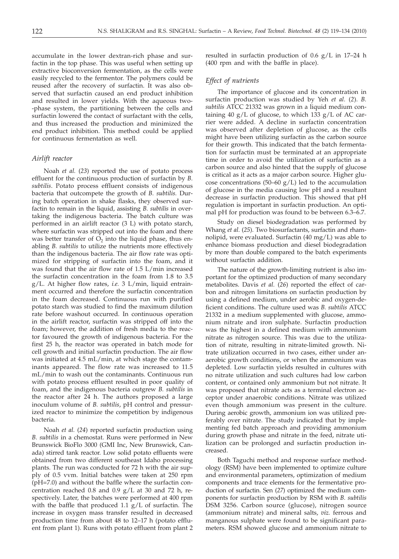accumulate in the lower dextran-rich phase and surfactin in the top phase. This was useful when setting up extractive bioconversion fermentation, as the cells were easily recycled to the fermentor. The polymers could be reused after the recovery of surfactin. It was also observed that surfactin caused an end product inhibition and resulted in lower yields. With the aqueous two- -phase system, the partitioning between the cells and surfactin lowered the contact of surfactant with the cells, and thus increased the production and minimized the end product inhibition. This method could be applied for continuous fermentation as well.

## *Airlift reactor*

Noah *et al.* (*23*) reported the use of potato process effluent for the continuous production of surfactin by *B. subtilis*. Potato process effluent consists of indigenous bacteria that outcompete the growth of *B. subtilis.* During batch operation in shake flasks, they observed surfactin to remain in the liquid, assisting *B. subtilis* in overtaking the indigenous bacteria. The batch culture was performed in an airlift reactor (3 L) with potato starch, where surfactin was stripped out into the foam and there was better transfer of  $O_2$  into the liquid phase, thus enabling *B. subtilis* to utilize the nutrients more effectively than the indigenous bacteria. The air flow rate was optimized for stripping of surfactin into the foam, and it was found that the air flow rate of 1.5 L/min increased the surfactin concentration in the foam from 1.8 to 3.5 g/L. At higher flow rates, *i.e.* 3 L/min, liquid entrainment occurred and therefore the surfactin concentration in the foam decreased. Continuous run with purified potato starch was studied to find the maximum dilution rate before washout occurred. In continuous operation in the airlift reactor, surfactin was stripped off into the foam; however, the addition of fresh media to the reactor favoured the growth of indigenous bacteria. For the first 25 h, the reactor was operated in batch mode for cell growth and initial surfactin production. The air flow was initiated at 4.5 mL/min, at which stage the contaminants appeared. The flow rate was increased to 11.5 mL/min to wash out the contaminants. Continuous run with potato process effluent resulted in poor quality of foam, and the indigenous bacteria outgrew *B. subtilis* in the reactor after 24 h. The authors proposed a large inoculum volume of *B. subtilis*, pH control and pressurized reactor to minimize the competition by indigenous bacteria.

Noah *et al.* (*24*) reported surfactin production using *B. subtilis* in a chemostat. Runs were performed in New Brunswick BioFlo 3000 (GMI Inc, New Brunswick, Canada) stirred tank reactor. Low solid potato effluents were obtained from two different southeast Idaho processing plants. The run was conducted for 72 h with the air supply of 0.5 vvm. Initial batches were taken at 250 rpm (pH=7.0) and without the baffle where the surfactin concentration reached 0.8 and 0.9 g/L at 30 and 72 h, respectively. Later, the batches were performed at 400 rpm with the baffle that produced 1.1 g/L of surfactin. The increase in oxygen mass transfer resulted in decreased production time from about 48 to 12–17 h (potato effluent from plant 1). Runs with potato effluent from plant 2

resulted in surfactin production of 0.6 g/L in 17–24 h (400 rpm and with the baffle in place).

## *Effect of nutrients*

The importance of glucose and its concentration in surfactin production was studied by Yeh *et al.* (*2*). *B. subtilis* ATCC 21332 was grown in a liquid medium containing 40 g/L of glucose, to which  $133$  g/L of AC carrier were added. A decline in surfactin concentration was observed after depletion of glucose, as the cells might have been utilizing surfactin as the carbon source for their growth. This indicated that the batch fermentation for surfactin must be terminated at an appropriate time in order to avoid the utilization of surfactin as a carbon source and also hinted that the supply of glucose is critical as it acts as a major carbon source. Higher glucose concentrations (50–60  $g/L$ ) led to the accumulation of glucose in the media causing low pH and a resultant decrease in surfactin production. This showed that pH regulation is important in surfactin production. An optimal pH for production was found to be between 6.3–6.7.

Study on diesel biodegradation was performed by Whang *et al*. (*25*). Two biosurfactants, surfactin and rhamnolipid, were evaluated. Surfactin (40 mg/L) was able to enhance biomass production and diesel biodegradation by more than double compared to the batch experiments without surfactin addition.

The nature of the growth-limiting nutrient is also important for the optimized production of many secondary metabolites. Davis *et al.* (*26*) reported the effect of carbon and nitrogen limitations on surfactin production by using a defined medium, under aerobic and oxygen-deficient conditions. The culture used was *B. subtilis* ATCC 21332 in a medium supplemented with glucose, ammonium nitrate and iron sulphate. Surfactin production was the highest in a defined medium with ammonium nitrate as nitrogen source. This was due to the utilization of nitrate, resulting in nitrate-limited growth. Nitrate utilization occurred in two cases, either under anaerobic growth conditions, or when the ammonium was depleted. Low surfactin yields resulted in cultures with no nitrate utilization and such cultures had low carbon content, or contained only ammonium but not nitrate. It was proposed that nitrate acts as a terminal electron acceptor under anaerobic conditions. Nitrate was utilized even though ammonium was present in the culture. During aerobic growth, ammonium ion was utilized preferably over nitrate. The study indicated that by implementing fed batch approach and providing ammonium during growth phase and nitrate in the feed, nitrate utilization can be prolonged and surfactin production increased.

Both Taguchi method and response surface methodology (RSM) have been implemented to optimize culture and environmental parameters, optimization of medium components and trace elements for the fermentative production of surfactin. Sen (*27*) optimized the medium components for surfactin production by RSM with *B. subtilis* DSM 3256. Carbon source (glucose), nitrogen source (ammonium nitrate) and mineral salts, *viz.* ferrous and manganous sulphate were found to be significant parameters. RSM showed glucose and ammonium nitrate to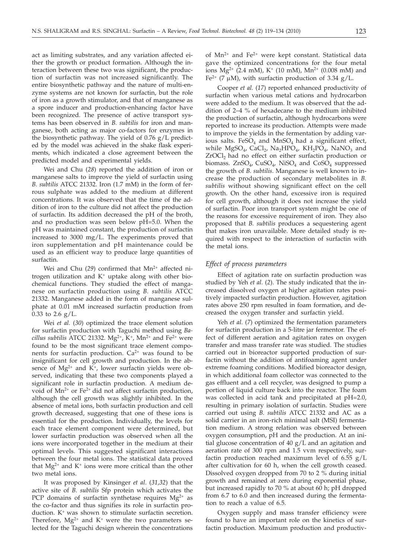act as limiting substrates, and any variation affected either the growth or product formation. Although the interaction between these two was significant, the production of surfactin was not increased significantly. The entire biosynthetic pathway and the nature of multi-enzyme systems are not known for surfactin, but the role of iron as a growth stimulator, and that of manganese as a spore inducer and production-enhancing factor have been recognized. The presence of active transport systems has been observed in *B. subtilis* for iron and manganese, both acting as major co-factors for enzymes in the biosynthetic pathway. The yield of 0.76 g/L predicted by the model was achieved in the shake flask experiments, which indicated a close agreement between the predicted model and experimental yields.

Wei and Chu (*28*) reported the addition of iron or manganese salts to improve the yield of surfactin using *B. subtilis* ATCC 21332. Iron (1.7 mM) in the form of ferrous sulphate was added to the medium at different concentrations. It was observed that the time of the addition of iron to the culture did not affect the production of surfactin. Its addition decreased the pH of the broth, and no production was seen below pH=5.0. When the pH was maintained constant, the production of surfactin increased to 3000 mg/L. The experiments proved that iron supplementation and pH maintenance could be used as an efficient way to produce large quantities of surfactin.

Wei and Chu (29) confirmed that Mn<sup>2+</sup> affected nitrogen utilization and  $K^+$  uptake along with other biochemical functions. They studied the effect of manganese on surfactin production using *B. subtilis* ATCC 21332. Manganese added in the form of manganese sulphate at 0.01 mM increased surfactin production from 0.33 to 2.6  $g/L$ .

Wei *et al.* (*30*) optimized the trace element solution for surfactin production with Taguchi method using *Bacillus subtilis* ATCC 21332.  $Mg^{2+}$ ,  $K^+$ ,  $Mn^{2+}$  and  $Fe^{2+}$  were found to be the most significant trace element components for surfactin production.  $Ca^{2+}$  was found to be insignificant for cell growth and production. In the absence of  $Mg^{2+}$  and  $K^+$ , lower surfactin yields were observed, indicating that these two components played a significant role in surfactin production. A medium devoid of  $Mn^{2+}$  or Fe<sup>2+</sup> did not affect surfactin production, although the cell growth was slightly inhibited. In the absence of metal ions, both surfactin production and cell growth decreased, suggesting that one of these ions is essential for the production. Individually, the levels for each trace element component were determined, but lower surfactin production was observed when all the ions were incorporated together in the medium at their optimal levels. This suggested significant interactions between the four metal ions. The statistical data proved that  $Mg^{2+}$  and  $K^+$  ions were more critical than the other two metal ions.

It was proposed by Kinsinger *et al*. (*31,32*) that the active site of *B. subtilis* Sfp protein which activates the PCP domains of surfactin synthetase requires  $Mg^{2+}$  as the co-factor and thus signifies its role in surfactin production. K<sup>+</sup> was shown to stimulate surfactin secretion. Therefore,  $Mg^{2+}$  and  $K^+$  were the two parameters selected for the Taguchi design wherein the concentrations

of  $Mn^{2+}$  and Fe<sup>2+</sup> were kept constant. Statistical data gave the optimized concentrations for the four metal ions  $Mg^{2+}$  (2.4 mM), K<sup>+</sup> (10 mM), Mn<sup>2+</sup> (0.008 mM) and Fe<sup>2+</sup> (7  $\mu$ M), with surfactin production of 3.34 g/L.

Cooper *et al.* (*17*) reported enhanced productivity of surfactin when various metal cations and hydrocarbon were added to the medium. It was observed that the addition of 2–4 % of hexadecane to the medium inhibited the production of surfactin, although hydrocarbons were reported to increase its production. Attempts were made to improve the yields in the fermentation by adding various salts.  $FeSO<sub>4</sub>$  and MnSO<sub>4</sub> had a significant effect, while  $MgSO_4$ , CaCl<sub>2</sub>, Na<sub>2</sub>HPO<sub>4</sub>, KH<sub>2</sub>PO<sub>4</sub>, NaNO<sub>3</sub> and ZrOCl<sub>2</sub> had no effect on either surfactin production or biomass.  $ZnSO_4$ ,  $CuSO_4$ ,  $NiSO_4$  and  $CoSO_4$  suppressed the growth of *B. subtilis*. Manganese is well known to increase the production of secondary metabolites in *B. subtilis* without showing significant effect on the cell growth. On the other hand, excessive iron is required for cell growth, although it does not increase the yield of surfactin. Poor iron transport system might be one of the reasons for excessive requirement of iron. They also proposed that *B. subtilis* produces a sequestering agent that makes iron unavailable. More detailed study is required with respect to the interaction of surfactin with the metal ions.

#### *Effect of process parameters*

Effect of agitation rate on surfactin production was studied by Yeh *et al.* (*2*). The study indicated that the increased dissolved oxygen at higher agitation rates positively impacted surfactin production. However, agitation rates above 250 rpm resulted in foam formation, and decreased the oxygen transfer and surfactin yield.

Yeh *et al.* (*7*) optimized the fermentation parameters for surfactin production in a 5-litre jar fermentor. The effect of different aeration and agitation rates on oxygen transfer and mass transfer rate was studied. The studies carried out in bioreactor supported production of surfactin without the addition of antifoaming agent under extreme foaming conditions. Modified bioreactor design, in which additional foam collector was connected to the gas effluent and a cell recycler, was designed to pump a portion of liquid culture back into the reactor. The foam was collected in acid tank and precipitated at pH=2.0, resulting in primary isolation of surfactin. Studies were carried out using *B. subtilis* ATCC 21332 and AC as a solid carrier in an iron-rich minimal salt (MSI) fermentation medium. A strong relation was observed between oxygen consumption, pH and the production. At an initial glucose concentration of 40 g/L and an agitation and aeration rate of 300 rpm and 1.5 vvm respectively, surfactin production reached maximum level of  $6.55$   $g/L$ after cultivation for 60 h, when the cell growth ceased. Dissolved oxygen dropped from 70 to 2  $\%$  during initial growth and remained at zero during exponential phase, but increased rapidly to 70 % at about 60 h; pH dropped from 6.7 to 6.0 and then increased during the fermentation to reach a value of 6.5.

Oxygen supply and mass transfer efficiency were found to have an important role on the kinetics of surfactin production. Maximum production and productiv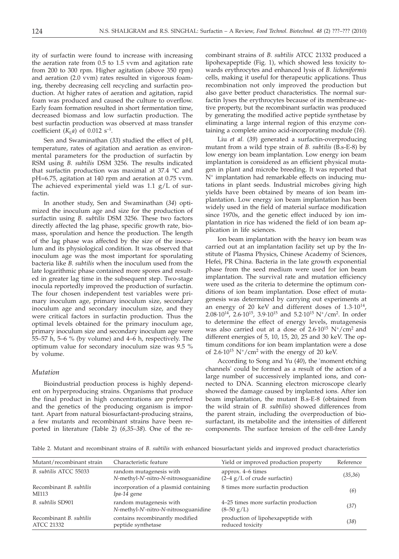ity of surfactin were found to increase with increasing the aeration rate from 0.5 to 1.5 vvm and agitation rate from 200 to 300 rpm. Higher agitation (above 350 rpm) and aeration (2.0 vvm) rates resulted in vigorous foaming, thereby decreasing cell recycling and surfactin production. At higher rates of aeration and agitation, rapid foam was produced and caused the culture to overflow. Early foam formation resulted in short fermentation time, decreased biomass and low surfactin production. The best surfactin production was observed at mass transfer coefficient  $(K<sub>L</sub>a)$  of 0.012 s<sup>-1</sup>.

Sen and Swaminathan (*33*) studied the effect of pH, temperature, rates of agitation and aeration as environmental parameters for the production of surfactin by RSM using *B. subtilis* DSM 3256. The results indicated that surfactin production was maximal at 37.4 °C and pH=6.75, agitation at 140 rpm and aeration at 0.75 vvm. The achieved experimental yield was  $1.1$   $g/L$  of surfactin.

In another study, Sen and Swaminathan (*34*) optimized the inoculum age and size for the production of surfactin using *B. subtilis* DSM 3256. These two factors directly affected the lag phase, specific growth rate, biomass, sporulation and hence the production. The length of the lag phase was affected by the size of the inoculum and its physiological condition. It was observed that inoculum age was the most important for sporulating bacteria like *B. subtilis* when the inoculum used from the late logarithmic phase contained more spores and resulted in greater lag time in the subsequent step. Two-stage inocula reportedly improved the production of surfactin. The four chosen independent test variables were primary inoculum age, primary inoculum size, secondary inoculum age and secondary inoculum size, and they were critical factors in surfactin production. Thus the optimal levels obtained for the primary inoculum age, primary inoculum size and secondary inoculum age were 55–57 h, 5–6 % (by volume) and 4–6 h, respectively. The optimum value for secondary inoculum size was 9.5 % by volume.

## *Mutation*

Bioindustrial production process is highly dependent on hyperproducing strains. Organisms that produce the final product in high concentrations are preferred and the genetics of the producing organism is important. Apart from natural biosurfactant-producing strains, a few mutants and recombinant strains have been reported in literature (Table 2) (*6,35–38*). One of the re-

combinant strains of *B. subtilis* ATCC 21332 produced a lipohexapeptide (Fig. 1), which showed less toxicity towards erythrocytes and enhanced lysis of *B. licheniformis* cells, making it useful for therapeutic applications. Thus recombination not only improved the production but also gave better product characteristics. The normal surfactin lyses the erythrocytes because of its membrane-active property, but the recombinant surfactin was produced by generating the modified active peptide synthetase by eliminating a large internal region of this enzyme containing a complete amino acid-incorporating module (*16*).

Liu *et al.* (*39*) generated a surfactin-overproducing mutant from a wild type strain of *B. subtilis* (B.s-E-8) by low energy ion beam implantation. Low energy ion beam implantation is considered as an efficient physical mutagen in plant and microbe breeding. It was reported that N+ implantation had remarkable effects on inducing mutations in plant seeds. Industrial microbes giving high yields have been obtained by means of ion beam implantation. Low energy ion beam implantation has been widely used in the field of material surface modification since 1970s, and the genetic effect induced by ion implantation in rice has widened the field of ion beam application in life sciences.

Ion beam implantation with the heavy ion beam was carried out at an implantation facility set up by the Institute of Plasma Physics, Chinese Academy of Sciences, Hefei, PR China. Bacteria in the late growth exponential phase from the seed medium were used for ion beam implantation. The survival rate and mutation efficiency were used as the criteria to determine the optimum conditions of ion beam implantation. Dose effect of mutagenesis was determined by carrying out experiments at an energy of 20 keV and different doses of  $1.3 \cdot 10^{14}$ , 2.08 $\cdot$ 10<sup>14</sup>, 2.6 $\cdot$ 10<sup>15</sup>, 3.9 $\cdot$ 10<sup>15</sup> and 5.2 $\cdot$ 10<sup>15</sup> N<sup>+</sup>/cm<sup>2</sup>. In order to determine the effect of energy levels, mutagenesis was also carried out at a dose of  $2.6 \cdot 10^{15}$  N<sup>+</sup>/cm<sup>2</sup> and different energies of 5, 10, 15, 20, 25 and 30 keV. The optimum conditions for ion beam implantation were a dose of  $2.6 \cdot 10^{15}$  N<sup>+</sup>/cm<sup>2</sup> with the energy of 20 keV.

According to Song and Yu (*40*), the 'moment etching channels' could be formed as a result of the action of a large number of successively implanted ions, and connected to DNA. Scanning electron microscope clearly showed the damage caused by implanted ions. After ion beam implantation, the mutant B.s-E-8 (obtained from the wild strain of *B. subtilis*) showed differences from the parent strain, including the overproduction of biosurfactant, its metabolite and the intensities of different components. The surface tension of the cell-free Landy

Table 2. Mutant and recombinant strains of *B. subtilis* with enhanced biosurfactant yields and improved product characteristics

| Mutant/recombinant strain                    | Characteristic feature                                          | Yield or improved production property                  | Reference |
|----------------------------------------------|-----------------------------------------------------------------|--------------------------------------------------------|-----------|
| B. subtilis ATCC 55033                       | random mutagenesis with<br>N-methyl-N'-nitro-N-nitrosoguanidine | approx. 4–6 times<br>$(2-4 g/L)$ of crude surfactin)   | (35,36)   |
| Recombinant B. subtilis<br>MI113             | incorporation of a plasmid containing<br>Ipa-14 gene            | 8 times more surfactin production                      | (6)       |
| B. subtilis SD901                            | random mutagenesis with<br>N-methyl-N'-nitro-N-nitrosoguanidine | 4–25 times more surfactin production<br>$(8-50 g/L)$   | (37)      |
| Recombinant B. subtilis<br><b>ATCC 21332</b> | contains recombinantly modified<br>peptide synthetase           | production of lipohexapeptide with<br>reduced toxicity | (38)      |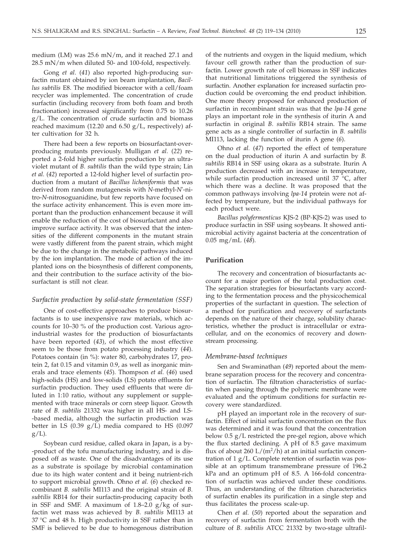medium (LM) was 25.6 mN/m, and it reached 27.1 and 28.5 mN/m when diluted 50- and 100-fold, respectively.

Gong *et al*. (*41*) also reported high-producing surfactin mutant obtained by ion beam implantation, *Bacillus subtilis* E8. The modified bioreactor with a cell/foam recycler was implemented. The concentration of crude surfactin (including recovery from both foam and broth fractionation) increased significantly from 0.75 to 10.26 g/L. The concentration of crude surfactin and biomass reached maximum (12.20 and 6.50 g/L, respectively) after cultivation for 32 h.

There had been a few reports on biosurfactant-overproducing mutants previously. Mulligan *et al.* (*22*) reported a 2-fold higher surfactin production by an ultraviolet mutant of *B. subtilis* than the wild type strain; Lin *et al.* (*42*) reported a 12-fold higher level of surfactin production from a mutant of *Bacillus licheniformis* that was derived from random mutagenesis with *N*-methyl-*N*'-nitro-*N*-nitrosoguanidine, but few reports have focused on the surface activity enhancement. This is even more important than the production enhancement because it will enable the reduction of the cost of biosurfactant and also improve surface activity. It was observed that the intensities of the different components in the mutant strain were vastly different from the parent strain, which might be due to the change in the metabolic pathways induced by the ion implantation. The mode of action of the implanted ions on the biosynthesis of different components, and their contribution to the surface activity of the biosurfactant is still not clear.

#### *Surfactin production by solid-state fermentation (SSF)*

One of cost-effective approaches to produce biosurfactants is to use inexpensive raw materials, which accounts for 10–30 % of the production cost. Various agroindustrial wastes for the production of biosurfactants have been reported (*43*), of which the most effective seem to be those from potato processing industry (*44*). Potatoes contain (in %): water 80, carbohydrates 17, protein 2, fat 0.15 and vitamin 0.9, as well as inorganic minerals and trace elements (*45*). Thompson *et al.* (*46*) used high-solids (HS) and low-solids (LS) potato effluents for surfactin production. They used effluents that were diluted in 1:10 ratio, without any supplement or supplemented with trace minerals or corn steep liquor. Growth rate of *B. subtilis* 21332 was higher in all HS- and LS- -based media, although the surfactin production was better in LS  $(0.39 \text{ g/L})$  media compared to HS  $(0.097)$  $g/L$ ).

Soybean curd residue, called okara in Japan, is a by- -product of the tofu manufacturing industry, and is disposed off as waste. One of the disadvantages of its use as a substrate is spoilage by microbial contamination due to its high water content and it being nutrient-rich to support microbial growth. Ohno *et al.* (*6*) checked recombinant *B. subtilis* MI113 and the original strain of *B. subtilis* RB14 for their surfactin-producing capacity both in SSF and SMF. A maximum of  $1.8-2.0$  g/kg of surfactin wet mass was achieved by *B. subtilis* MI113 at 37 °C and 48 h. High productivity in SSF rather than in SMF is believed to be due to homogenous distribution

of the nutrients and oxygen in the liquid medium, which favour cell growth rather than the production of surfactin. Lower growth rate of cell biomass in SSF indicates that nutritional limitations triggered the synthesis of surfactin. Another explanation for increased surfactin production could be overcoming the end product inhibition. One more theory proposed for enhanced production of surfactin in recombinant strain was that the *lpa-14* gene plays an important role in the synthesis of iturin A and surfactin in original *B. subtilis* RB14 strain. The same gene acts as a single controller of surfactin in *B. subtilis* MI113, lacking the function of iturin A gene (*6*).

Ohno *et al.* (*47*) reported the effect of temperature on the dual production of iturin A and surfactin by *B. subtilis* RB14 in SSF using okara as a substrate. Iturin A production decreased with an increase in temperature, while surfactin production increased until 37 °C, after which there was a decline. It was proposed that the common pathways involving *lpa-14* protein were not affected by temperature, but the individual pathways for each product were.

*Bacillus polyfermenticus* KJS-2 (BP*-*KJS-2) was used to produce surfactin in SSF using soybeans. It showed antimicrobial activity against bacteria at the concentration of 0.05 mg/mL (*48*).

## **Purification**

The recovery and concentration of biosurfactants account for a major portion of the total production cost. The separation strategies for biosurfactants vary according to the fermentation process and the physicochemical properties of the surfactant in question. The selection of a method for purification and recovery of surfactants depends on the nature of their charge, solubility characteristics, whether the product is intracellular or extracellular, and on the economics of recovery and downstream processing.

#### *Membrane-based techniques*

Sen and Swaminathan (*49*) reported about the membrane separation process for the recovery and concentration of surfactin. The filtration characteristics of surfactin when passing through the polymeric membrane were evaluated and the optimum conditions for surfactin recovery were standardized.

pH played an important role in the recovery of surfactin. Effect of initial surfactin concentration on the flux was determined and it was found that the concentration below 0.5 g/L restricted the pre-gel region, above which the flux started declining. A pH of 8.5 gave maximum flux of about 260 L/ $(m^2/h)$  at an initial surfactin concentration of 1 g/L. Complete retention of surfactin was possible at an optimum transmembrane pressure of 196.2 kPa and an optimum pH of 8.5. A 166-fold concentration of surfactin was achieved under these conditions. Thus, an understanding of the filtration characteristics of surfactin enables its purification in a single step and thus facilitates the process scale-up.

Chen *et al.* (*50*) reported about the separation and recovery of surfactin from fermentation broth with the culture of *B. subtilis* ATCC 21332 by two-stage ultrafil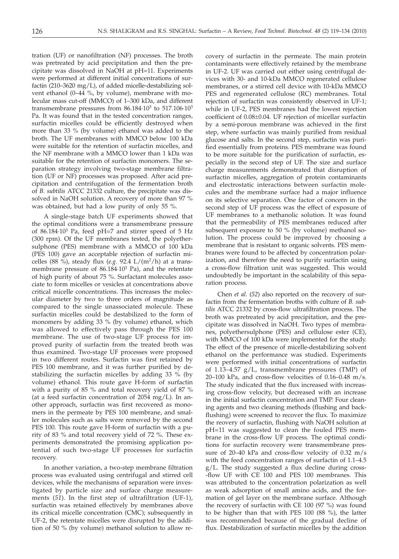tration (UF) or nanofiltration (NF) processes. The broth was pretreated by acid precipitation and then the precipitate was dissolved in NaOH at pH=11. Experiments were performed at different initial concentrations of surfactin (210–3620 mg/L), of added micelle-destabilizing solvent ethanol (0–44 %, by volume), membrane with molecular mass cut-off (MMCO) of 1–300 kDa, and different transmembrane pressures from  $86.184 \cdot 10^3$  to  $517.106 \cdot 10^3$ Pa. It was found that in the tested concentration ranges, surfactin micelles could be efficiently destroyed when more than 33 % (by volume) ethanol was added to the broth. The UF membranes with MMCO below 100 kDa were suitable for the retention of surfactin micelles, and the NF membrane with a MMCO lower than 1 kDa was suitable for the retention of surfactin monomers. The separation strategy involving two-stage membrane filtration (UF or NF) processes was proposed. After acid precipitation and centrifugation of the fermentation broth of *B. subtilis* ATCC 21332 culture, the precipitate was dissolved in NaOH solution. A recovery of more than 97 % was obtained, but had a low purity of only 55 %.

A single-stage batch UF experiments showed that the optimal conditions were a transmembrane pressure of 86.184·103 Pa, feed pH=7 and stirrer speed of 5 Hz (300 rpm). Of the UF membranes tested, the polyethersulphone (PES) membrane with a MMCO of 100 kDa (PES 100) gave an acceptable rejection of surfactin micelles (88 %), steady flux (*e.g.* 92.4  $L/(m^2/h)$  at a transmembrane pressure of 86.184·103 Pa), and the retentate of high purity of about 75 %. Surfactant molecules associate to form micelles or vesicles at concentrations above critical micelle concentrations. This increases the molecular diameter by two to three orders of magnitude as compared to the single unassociated molecule. These surfactin micelles could be destabilized to the form of monomers by adding 33 % (by volume) ethanol, which was allowed to effectively pass through the PES 100 membrane. The use of two-stage UF process for improved purity of surfactin from the treated broth was thus examined. Two-stage UF processes were proposed in two different routes. Surfactin was first retained by PES 100 membrane, and it was further purified by destabilizing the surfactin micelles by adding 33 % (by volume) ethanol. This route gave H-form of surfactin with a purity of 85 % and total recovery yield of 87 % (at a feed surfactin concentration of 2054 mg/L). In another approach, surfactin was first recovered as monomers in the permeate by PES 100 membrane, and smaller molecules such as salts were removed by the second PES 100. This route gave H-form of surfactin with a purity of 83 % and total recovery yield of 72 %. These experiments demonstrated the promising application potential of such two-stage UF processes for surfactin recovery.

In another variation, a two-step membrane filtration process was evaluated using centrifugal and stirred cell devices, while the mechanisms of separation were investigated by particle size and surface charge measurements (*51*). In the first step of ultrafiltration (UF-1), surfactin was retained effectively by membranes above its critical micelle concentration (CMC); subsequently in UF-2, the retentate micelles were disrupted by the addition of 50 % (by volume) methanol solution to allow recovery of surfactin in the permeate. The main protein contaminants were effectively retained by the membrane in UF-2. UF was carried out either using centrifugal devices with 30- and 10-kDa MMCO regenerated cellulose membranes, or a stirred cell device with 10-kDa MMCO PES and regenerated cellulose (RC) membranes. Total rejection of surfactin was consistently observed in UF-1; while in UF-2, PES membranes had the lowest rejection coefficient of 0.08±0.04. UF rejection of micellar surfactin by a semi-porous membrane was achieved in the first step, where surfactin was mainly purified from residual glucose and salts. In the second step, surfactin was purified essentially from proteins. PES membrane was found to be more suitable for the purification of surfactin, especially in the second step of UF. The size and surface charge measurements demonstrated that disruption of surfactin micelles, aggregation of protein contaminants and electrostatic interactions between surfactin molecules and the membrane surface had a major influence on its selective separation. One factor of concern in the second step of UF process was the effect of exposure of UF membranes to a methanolic solution. It was found that the permeability of PES membranes reduced after subsequent exposure to 50 % (by volume) methanol solution. The process could be improved by choosing a membrane that is resistant to organic solvents. PES membranes were found to be affected by concentration polarization, and therefore the need to purify surfactin using a cross-flow filtration unit was suggested. This would undoubtedly be important in the scalability of this separation process.

Chen *et al.* (*52*) also reported on the recovery of surfactin from the fermentation broths with culture of *B. subtilis* ATCC 21332 by cross-flow ultrafiltration process. The broth was pretreated by acid precipitation, and the precipitate was dissolved in NaOH. Two types of membranes, polyethersulphone (PES) and cellulose ester (CE), with MMCO of 100 kDa were implemented for the study. The effect of the presence of micelle-destabilizing solvent ethanol on the performance was studied. Experiments were performed with initial concentrations of surfactin of 1.13–4.57  $g/L$ , transmembrane pressures (TMP) of 20–100 kPa, and cross-flow velocities of 0.16–0.48 m/s. The study indicated that the flux increased with increasing cross-flow velocity, but decreased with an increase in the initial surfactin concentration and TMP. Four cleaning agents and two cleaning methods (flushing and backflushing) were screened to recover the flux. To maximize the reovery of surfactin, flushing with NaOH solution at pH=11 was suggested to clean the fouled PES membrane in the cross-flow UF process. The optimal conditions for surfactin recovery were transmembrane pressure of 20–40 kPa and cross-flow velocity of 0.32 m/s with the feed concentration ranges of surfactin of 1.1–4.5 g/L. The study suggested a flux decline during cross- -flow UF with CE 100 and PES 100 membranes. This was attributed to the concentration polarization as well as weak adsorption of small amino acids, and the formation of gel layer on the membrane surface. Although the recovery of surfactin with CE 100 (97 %) was found to be higher than that with PES 100 (88 %), the latter was recommended because of the gradual decline of flux. Destabilization of surfactin micelles by the addition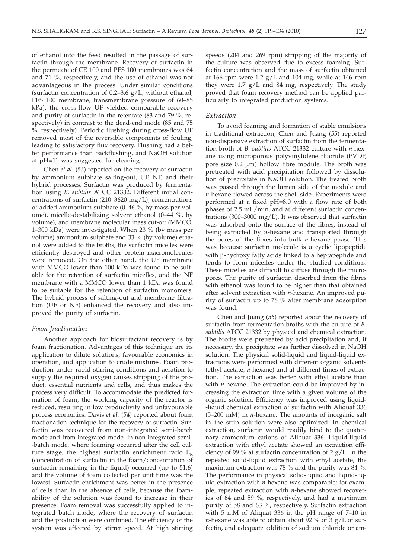of ethanol into the feed resulted in the passage of surfactin through the membrane. Recovery of surfactin in the permeate of CE 100 and PES 100 membranes was 64 and 71 %, respectively, and the use of ethanol was not advantageous in the process. Under similar conditions (surfactin concentration of 0.2–3.6  $g/L$ , without ethanol, PES 100 membrane, transmembrane pressure of 60–85 kPa), the cross-flow UF yielded comparable recovery and purity of surfactin in the retentate (83 and 79 %, respectively) in contrast to the dead-end mode (85 and 75 %, respectively). Periodic flushing during cross-flow UF removed most of the reversible components of fouling, leading to satisfactory flux recovery. Flushing had a better performance than backflushing, and NaOH solution at pH=11 was suggested for cleaning.

Chen *et al.* (*53*) reported on the recovery of surfactin by ammonium sulphate salting-out, UF, NF, and their hybrid processes. Surfactin was produced by fermentation using *B. subtilis* ATCC 21332. Different initial concentrations of surfactin (210–3620 mg/L), concentrations of added ammonium sulphate (0–46 %, by mass per volume), micelle-destabilizing solvent ethanol (0–44 %, by volume), and membrane molecular mass cut-off (MMCO, 1–300 kDa) were investigated. When 23 % (by mass per volume) ammonium sulphate and 33 % (by volume) ethanol were added to the broths, the surfactin micelles were efficiently destroyed and other protein macromolecules were removed. On the other hand, the UF membrane with MMCO lower than 100 kDa was found to be suitable for the retention of surfactin micelles, and the NF membrane with a MMCO lower than 1 kDa was found to be suitable for the retention of surfactin monomers. The hybrid process of salting-out and membrane filtration (UF or NF) enhanced the recovery and also improved the purity of surfactin.

#### *Foam fractionation*

Another approach for biosurfactant recovery is by foam fractionation. Advantages of this technique are its application to dilute solutions, favourable economics in operation, and application to crude mixtures. Foam production under rapid stirring conditions and aeration to supply the required oxygen causes stripping of the product, essential nutrients and cells, and thus makes the process very difficult. To accommodate the predicted formation of foam, the working capacity of the reactor is reduced, resulting in low productivity and unfavourable process economics. Davis *et al.* (*54*) reported about foam fractionation technique for the recovery of surfactin. Surfactin was recovered from non-integrated semi-batch mode and from integrated mode. In non-integrated semi- -batch mode, where foaming occurred after the cell culture stage, the highest surfactin enrichment ratio  $E_R$ (concentration of surfactin in the foam/concentration of surfactin remaining in the liquid) occurred (up to 51.6) and the volume of foam collected per unit time was the lowest. Surfactin enrichment was better in the presence of cells than in the absence of cells, because the foamability of the solution was found to increase in their presence. Foam removal was successfully applied to integrated batch mode, where the recovery of surfactin and the production were combined. The efficiency of the system was affected by stirrer speed. At high stirring

speeds (204 and 269 rpm) stripping of the majority of the culture was observed due to excess foaming. Surfactin concentration and the mass of surfactin obtained at 166 rpm were  $1.2$  g/L and 104 mg, while at 146 rpm they were  $1.7 \text{ g/L}$  and 84 mg, respectively. The study proved that foam recovery method can be applied particularly to integrated production systems.

## *Extraction*

To avoid foaming and formation of stable emulsions in traditional extraction, Chen and Juang (*55*) reported non-dispersive extraction of surfactin from the fermentation broth of *B. subtilis* ATCC 21332 culture with *n*-hexane using microporous polyvinylidene fluoride (PVDF, pore size 0.2  $\mu$ m) hollow fibre module. The broth was pretreated with acid precipitation followed by dissolution of precipitate in NaOH solution. The treated broth was passed through the lumen side of the module and *n*-hexane flowed across the shell side. Experiments were performed at a fixed pH=8.0 with a flow rate of both phases of 2.5 mL/min, and at different surfactin concentrations (300–3000 mg/L). It was observed that surfactin was adsorbed onto the surface of the fibres, instead of being extracted by *n*-hexane and transported through the pores of the fibres into bulk *n*-hexane phase. This was because surfactin molecule is a cyclic lipopeptide with  $\beta$ -hydroxy fatty acids linked to a heptapeptide and tends to form micelles under the studied conditions. These micelles are difficult to diffuse through the micropores. The purity of surfactin desorbed from the fibres with ethanol was found to be higher than that obtained after solvent extraction with *n*-hexane. An improved purity of surfactin up to 78 % after membrane adsorption was found.

Chen and Juang (*56*) reported about the recovery of surfactin from fermentation broths with the culture of *B. subtilis* ATCC 21332 by physical and chemical extraction. The broths were pretreated by acid precipitation and, if necessary, the precipitate was further dissolved in NaOH solution. The physical solid-liquid and liquid-liquid extractions were performed with different organic solvents (ethyl acetate, *n*-hexane) and at different times of extraction. The extraction was better with ethyl acetate than with *n*-hexane. The extraction could be improved by increasing the extraction time with a given volume of the organic solution. Efficiency was improved using liquid- -liquid chemical extraction of surfactin with Aliquat 336 (5–200 mM) in *n*-hexane. The amounts of inorganic salt in the strip solution were also optimized. In chemical extraction, surfactin would readily bind to the quaternary ammonium cations of Aliquat 336. Liquid-liquid extraction with ethyl acetate showed an extraction efficiency of 99 % at surfactin concentration of  $2 g/L$ . In the repeated solid-liquid extraction with ethyl acetate, the maximum extraction was 78 % and the purity was 84 %. The performance in physical solid-liquid and liquid-liquid extraction with *n*-hexane was comparable; for example, repeated extraction with *n*-hexane showed recoveries of 64 and 59 %, respectively, and had a maximum purity of 58 and 63 %, respectively. Surfactin extraction with 5 mM of Aliquat 336 in the pH range of 7–10 in *n*-hexane was able to obtain about 92 % of  $3 g/L$  of surfactin, and adequate addition of sodium chloride or am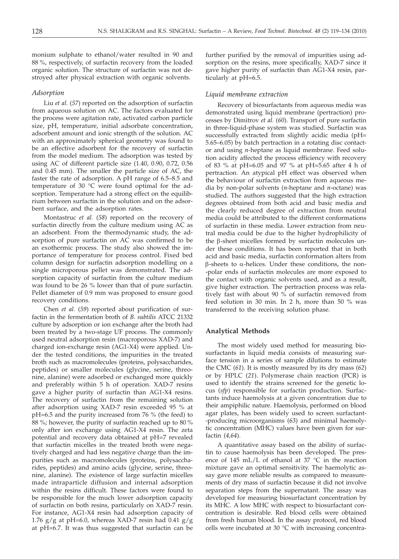monium sulphate to ethanol/water resulted in 90 and 88 %, respectively, of surfactin recovery from the loaded organic solution. The structure of surfactin was not destroyed after physical extraction with organic solvents.

#### *Adsorption*

Liu *et al.* (*57*) reported on the adsorption of surfactin from aqueous solution on AC. The factors evaluated for the process were agitation rate, activated carbon particle size, pH, temperature, initial adsorbate concentration, adsorbent amount and ionic strength of the solution. AC with an approximately spherical geometry was found to be an effective adsorbent for the recovery of surfactin from the model medium. The adsorption was tested by using AC of different particle size (1.40, 0.90, 0.72, 0.56 and 0.45 mm). The smaller the particle size of AC, the faster the rate of adsorption. A pH range of 6.5–8.5 and temperature of 30 °C were found optimal for the adsorption. Temperature had a strong effect on the equilibrium between surfactin in the solution and on the adsorbent surface, and the adsorption rates.

Montastruc *et al.* (*58*) reported on the recovery of surfactin directly from the culture medium using AC as an adsorbent. From the thermodynamic study, the adsorption of pure surfactin on AC was confirmed to be an exothermic process. The study also showed the importance of temperature for process control. Fixed bed column design for surfactin adsorption modelling on a single microporous pellet was demonstrated. The adsorption capacity of surfactin from the culture medium was found to be 26 % lower than that of pure surfactin. Pellet diameter of 0.9 mm was proposed to ensure good recovery conditions.

Chen *et al.* (*59*) reported about purification of surfactin in the fermentation broth of *B. subtilis* ATCC 21332 culture by adsorption or ion exchange after the broth had been treated by a two-stage UF process. The commonly used neutral adsorption resin (macroporous XAD-7) and charged ion-exchange resin (AG1-X4) were applied. Under the tested conditions, the impurities in the treated broth such as macromolecules (proteins, polysaccharides, peptides) or smaller molecules (glycine, serine, threonine, alanine) were adsorbed or exchanged more quickly and preferably within 5 h of operation. XAD-7 resins gave a higher purity of surfactin than AG1-X4 resins. The recovery of surfactin from the remaining solution after adsorption using XAD-7 resin exceeded 95 % at pH=6.5 and the purity increased from 76 % (the feed) to 88 %; however, the purity of surfactin reached up to 80 % only after ion exchange using AG1-X4 resin. The zeta potential and recovery data obtained at pH=7 revealed that surfactin micelles in the treated broth were negatively charged and had less negative charge than the impurities such as macromolecules (proteins, polysaccharides, peptides) and amino acids (glycine, serine, threonine, alanine). The existence of large surfactin micelles made intraparticle diffusion and internal adsorption within the resins difficult. These factors were found to be responsible for the much lower adsorption capacity of surfactin on both resins, particularly on XAD-7 resin. For instance, AG1-X4 resin had adsorption capacity of 1.76  $g/g$  at pH=6.0, whereas XAD-7 resin had 0.41  $g/g$ at pH=6.7. It was thus suggested that surfactin can be

further purified by the removal of impurities using adsorption on the resins, more specifically, XAD-7 since it gave higher purity of surfactin than AG1-X4 resin, particularly at pH=6.5.

#### *Liquid membrane extraction*

Recovery of biosurfactants from aqueous media was demonstrated using liquid membrane (pertraction) processes by Dimitrov *et al.* (*60*). Transport of pure surfactin in three-liquid-phase system was studied. Surfactin was successfully extracted from slightly acidic media (pH= 5.65–6.05) by batch pertraction in a rotating disc contactor and using *n-*heptane as liquid membrane. Feed solution acidity affected the process efficiency with recovery of 83 % at pH=6.05 and 97 % at pH=5.65 after 4 h of pertraction. An atypical pH effect was observed when the behaviour of surfactin extraction from aqueous media by non-polar solvents (*n*-heptane and *n*-octane) was studied. The authors suggested that the high extraction degrees obtained from both acid and basic media and the clearly reduced degree of extraction from neutral media could be attributed to the different conformations of surfactin in these media. Lower extraction from neutral media could be due to the higher hydrophilicity of the  $\beta$ -sheet micelles formed by surfactin molecules under these conditions. It has been reported that in both acid and basic media, surfactin conformation alters from  $\beta$ -sheets to  $\alpha$ -helices. Under these conditions, the non--polar ends of surfactin molecules are more exposed to the contact with organic solvents used, and as a result, give higher extraction. The pertraction process was relatively fast with about 90 % of surfactin removed from feed solution in 30 min. In 2 h, more than 50 % was transferred to the receiving solution phase.

#### **Analytical Methods**

The most widely used method for measuring biosurfactants in liquid media consists of measuring surface tension in a series of sample dilutions to estimate the CMC (*61*). It is mostly measured by its dry mass (*62*) or by HPLC (*21*). Polymerase chain reaction (PCR) is used to identify the strains screened for the genetic locus (*sfp*) responsible for surfactin production. Surfactants induce haemolysis at a given concentration due to their ampiphilic nature. Haemolysis, performed on blood agar plates, has been widely used to screen surfactant- -producing microorganisms (*63*) and minimal haemolytic concentration (MHC) values have been given for surfactin (*4,64*).

A quantitative assay based on the ability of surfactin to cause haemolysis has been developed. The presence of 145 mL/L of ethanol at 37 °C in the reaction mixture gave an optimal sensitivity. The haemolytic assay gave more reliable results as compared to measurements of dry mass of surfactin because it did not involve separation steps from the supernatant. The assay was developed for measuring biosurfactant concentration by its MHC. A low MHC with respect to biosurfactant concentration is desirable. Red blood cells were obtained from fresh human blood. In the assay protocol, red blood cells were incubated at 30 °C with increasing concentra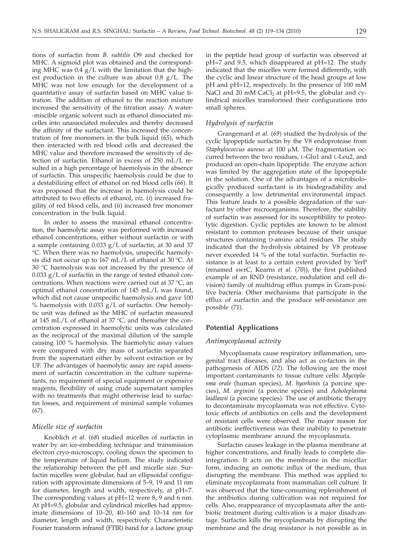tions of surfactin from *B. subtilis* O9 and checked for MHC. A sigmoid plot was obtained and the corresponding MHC was  $0.4$  g/L with the limitation that the highest production in the culture was about 0.8 g/L. The MHC was not low enough for the development of a quantitative assay of surfactin based on MHC value titration. The addition of ethanol to the reaction mixture increased the sensitivity of the titration assay. A water- -miscible organic solvent such as ethanol dissociated micelles into unassociated molecules and thereby decreased the affinity of the surfactant. This increased the concentration of free monomers in the bulk liquid (*65*), which then interacted with red blood cells and decreased the MHC value and therefore increased the sensitivity of detection of surfactin. Ethanol in excess of 250 mL/L resulted in a high percentage of haemolysis in the absence of surfactin. This unspecific haemolysis could be due to a destabilizing effect of ethanol on red blood cells (*66*). It was proposed that the increase in haemolysis could be attributed to two effects of ethanol, *viz.* (*i*) increased fragility of red blood cells, and (*ii*) increased free monomer concentration in the bulk liquid.

In order to assess the maximal ethanol concentration, the haemolytic assay was performed with increased ethanol concentrations, either without surfactin or with a sample containing 0.033 g/L of surfactin, at 30 and 37 °C. When there was no haemolysis, unspecific haemolysis did not occur up to 167 mL/L of ethanol at 30 °C. At 30 °C haemolysis was not increased by the presence of  $0.033$  g/L of surfactin in the range of tested ethanol concentrations. When reactions were carried out at 37 °C, an optimal ethanol concentration of 145 mL/L was found, which did not cause unspecific haemolysis and gave 100  $%$  haemolysis with 0.033 g/L of surfactin. One hemolytic unit was defined as the MHC of surfactin measured at 145 mL/L of ethanol at 37 °C, and thereafter the concentration expressed in haemolytic units was calculated as the reciprocal of the maximal dilution of the sample causing 100 % haemolysis. The haemolytic assay values were compared with dry mass of surfactin separated from the supernatant either by solvent extraction or by UF. The advantages of haemolytic assay are rapid assessment of surfactin concentration in the culture supernatants, no requirement of special equipment or expensive reagents, flexibility of using crude supernatant samples with no treatments that might otherwise lead to surfactin losses, and requirement of minimal sample volumes (*67*).

## *Micelle size of surfactin*

Knoblich *et al.* (*68*) studied micelles of surfactin in water by an ice-embedding technique and transmission electron cryo-microscopy, cooling down the specimen to the temperature of liquid helium. The study indicated the relationship between the pH and micelle size. Surfactin micelles were globular, had an ellipsoidal configuration with approximate dimensions of 5–9, 19 and 11 nm for diameter, length and width, respectively, at pH=7. The corresponding values at pH=12 were 8, 9 and 6 nm. At pH=9.5, globular and cylindrical micelles had approximate dimensions of 10–20, 40–160 and 10–14 nm for diameter, length and width, respectively. Characteristic Fourier transform infrared (FTIR) band for a lactone group

in the peptide head group of surfactin was observed at pH=7 and 9.5, which disappeared at pH=12. The study indicated that the micelles were formed differently, with the cyclic and linear structure of the head groups at low pH and pH=12, respectively. In the presence of 100 mM NaCl and 20 mM CaCl<sub>2</sub> at  $pH=9.5$ , the globular and cylindrical micelles transformed their configurations into small spheres.

## *Hydrolysis of surfactin*

Grangemard *et al.* (*69*) studied the hydrolysis of the cyclic lipopeptide surfactin by the V8 endoprotease from Staphylococcus aureus at 100 µM. The fragmentation occurred between the two residues, L-Glu1 and L-Leu2, and produced an open-chain lipopeptide. The enzyme action was limited by the aggregation state of the lipopeptide in the solution. One of the advantages of a microbiologically produced surfactant is its biodegradability and consequently a low detrimental environmental impact. This feature leads to a possible degradation of the surfactant by other microorganisms. Therefore, the stability of surfactin was assessed for its susceptibility to proteolytic digestion. Cyclic peptides are known to be almost resistant to common proteases because of their unique structures containing D-amino acid residues. The study indicated that the hydrolysis obtained by V8 protease never exceeded 14 % of the total surfactin. Surfactin resistance is at least to a certain extent provided by YerP (renamed swrC, Kearns *et al*. (*70*)), the first published example of an RND (resistance, nodulation and cell division) family of multidrug efflux pumps in Gram-positive bacteria. Other mechanisms that participate in the efflux of surfactin and the produce self-resistance are possible (*71*).

## **Potential Applications**

#### *Antimycoplasmal activity*

Mycoplasmata cause respiratory inflammation, urogenital tract diseases, and also act as co-factors in the pathogenesis of AIDS (*72*). The following are the most important contaminants to tissue culture cells: *Mycoplasma orale* (human species), *M. hyorhinis* (a porcine species), *M. arginini* (a porcine species) and *Acholeplasma laidlawii* (a porcine species). The use of antibiotic therapy to decontaminate mycoplasmata was not effective. Cytotoxic effects of antibiotics on cells and the development of resistant cells were observed. The major reason for antibiotic ineffectiveness was their inability to penetrate cytoplasmic membrane around the mycoplasmata.

Surfactin causes leakage in the plasma membrane at higher concentrations, and finally leads to complete disintegration. It acts on the membrane in the micellar form, inducing an osmotic influx of the medium, thus disrupting the membrane. This method was applied to eliminate mycoplasmata from mammalian cell culture. It was observed that the time-consuming replenishment of the antibiotics during cultivation was not required for cells. Also, reappearance of mycoplasmata after the antibiotic treatment during cultivation is a major disadvantage. Surfactin kills the mycoplasmata by disrupting the membrane and the drug resistance is not possible as in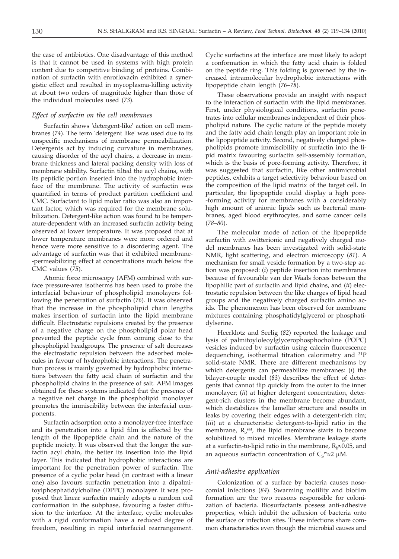the case of antibiotics. One disadvantage of this method is that it cannot be used in systems with high protein content due to competitive binding of proteins. Combination of surfactin with enrofloxacin exhibited a synergistic effect and resulted in mycoplasma-killing activity at about two orders of magnitude higher than those of the individual molecules used (*73*).

# *Effect of surfactin on the cell membranes*

Surfactin shows 'detergent-like' action on cell membranes (*74*). The term 'detergent like' was used due to its unspecific mechanisms of membrane permeabilization. Detergents act by inducing curvature in membranes, causing disorder of the acyl chains, a decrease in membrane thickness and lateral packing density with loss of membrane stability. Surfactin tilted the acyl chains, with its peptidic portion inserted into the hydrophobic interface of the membrane. The activity of surfactin was quantified in terms of product partition coefficient and CMC. Surfactant to lipid molar ratio was also an important factor, which was required for the membrane solubilization. Detergent-like action was found to be temperature-dependent with an increased surfactin activity being observed at lower temperature. It was proposed that at lower temperature membranes were more ordered and hence were more sensitive to a disordering agent. The advantage of surfactin was that it exhibited membrane- -permeabilizing effect at concentrations much below the CMC values (*75*).

Atomic force microscopy (AFM) combined with surface pressure-area isotherms has been used to probe the interfacial behaviour of phospholipid monolayers following the penetration of surfactin (*76*). It was observed that the increase in the phospholipid chain lengths makes insertion of surfactin into the lipid membrane difficult. Electrostatic repulsions created by the presence of a negative charge on the phospholipid polar head prevented the peptide cycle from coming close to the phospholipid headgroups. The presence of salt decreases the electrostatic repulsion between the adsorbed molecules in favour of hydrophobic interactions. The penetration process is mainly governed by hydrophobic interactions between the fatty acid chain of surfactin and the phospholipid chains in the presence of salt. AFM images obtained for these systems indicated that the presence of a negative net charge in the phospholipid monolayer promotes the immiscibility between the interfacial components.

Surfactin adsorption onto a monolayer-free interface and its penetration into a lipid film is affected by the length of the lipopeptide chain and the nature of the peptide moiety. It was observed that the longer the surfactin acyl chain, the better its insertion into the lipid layer. This indicated that hydrophobic interactions are important for the penetration power of surfactin. The presence of a cyclic polar head (in contrast with a linear one) also favours surfactin penetration into a dipalmitoylphosphatidylcholine (DPPC) monolayer. It was proposed that linear surfactin mainly adopts a random coil conformation in the subphase, favouring a faster diffusion to the interface. At the interface, cyclic molecules with a rigid conformation have a reduced degree of freedom, resulting in rapid interfacial rearrangement.

Cyclic surfactins at the interface are most likely to adopt a conformation in which the fatty acid chain is folded on the peptide ring. This folding is governed by the increased intramolecular hydrophobic interactions with lipopeptide chain length (*76–78*).

These observations provide an insight with respect to the interaction of surfactin with the lipid membranes. First, under physiological conditions, surfactin penetrates into cellular membranes independent of their phospholipid nature. The cyclic nature of the peptide moiety and the fatty acid chain length play an important role in the lipopeptide activity. Second, negatively charged phospholipids promote immiscibility of surfactin into the lipid matrix favouring surfactin self-assembly formation, which is the basis of pore-forming activity. Therefore, it was suggested that surfactin, like other antimicrobial peptides, exhibits a target selectivity behaviour based on the composition of the lipid matrix of the target cell. In particular, the lipopeptide could display a high pore- -forming activity for membranes with a considerably high amount of anionic lipids such as bacterial membranes, aged blood erythrocytes, and some cancer cells (*78–80*).

The molecular mode of action of the lipopeptide surfactin with zwitterionic and negatively charged model membranes has been investigated with solid-state NMR, light scattering, and electron microscopy (*81*). A mechanism for small vesicle formation by a two-step action was proposed: (*i*) peptide insertion into membranes because of favourable van der Waals forces between the lipophilic part of surfactin and lipid chains, and (*ii*) electrostatic repulsion between the like charges of lipid head groups and the negatively charged surfactin amino acids. The phenomenon has been observed for membrane mixtures containing phosphatidylglycerol or phosphatidylserine.

Heerklotz and Seelig (*82*) reported the leakage and lysis of palmitoyloleoylglycerophosphocholine (POPC) vesicles induced by surfactin using calcein fluorescence dequenching, isothermal titration calorimetry and  $^{31}P$ solid-state NMR. There are different mechanisms by which detergents can permeabilize membranes: (*i*) the bilayer-couple model (*83*) describes the effect of detergents that cannot flip quickly from the outer to the inner monolayer; (*ii*) at higher detergent concentration, detergent-rich clusters in the membrane become abundant, which destabilizes the lamellar structure and results in leaks by covering their edges with a detergent-rich rim; (*iii*) at a characteristic detergent-to-lipid ratio in the membrane,  $R_b^{\text{sat}}$ , the lipid membrane starts to become solubilized to mixed micelles. Membrane leakage starts at a surfactin-to-lipid ratio in the membrane,  $R_b \approx 0.05$ , and an aqueous surfactin concentration of  $C_S$ <sup>w</sup> $\approx$ 2 µM.

## *Anti-adhesive application*

Colonization of a surface by bacteria causes nosocomial infections (*84*). Swarming motility and biofilm formation are the two reasons responsible for colonization of bacteria. Biosurfactants possess anti-adhesive properties, which inhibit the adhesion of bacteria onto the surface or infection sites. These infections share common characteristics even though the microbial causes and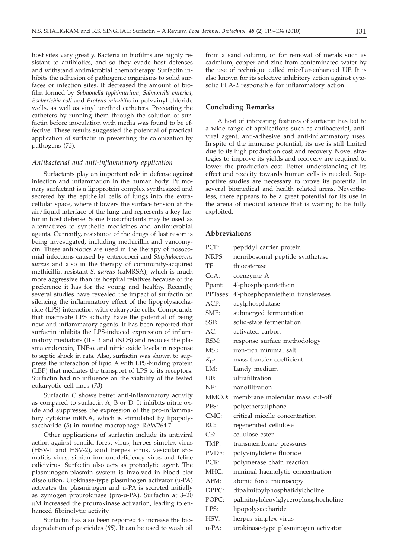host sites vary greatly. Bacteria in biofilms are highly resistant to antibiotics, and so they evade host defenses and withstand antimicrobial chemotherapy. Surfactin inhibits the adhesion of pathogenic organisms to solid surfaces or infection sites. It decreased the amount of biofilm formed by *Salmonella typhimurium*, *Salmonella enterica*, *Escherichia coli* and *Proteus mirabilis* in polyvinyl chloride wells, as well as vinyl urethral catheters. Precoating the catheters by running them through the solution of surfactin before inoculation with media was found to be effective. These results suggested the potential of practical application of surfactin in preventing the colonization by pathogens (*73*).

#### *Antibacterial and anti-inflammatory application*

Surfactants play an important role in defense against infection and inflammation in the human body. Pulmonary surfactant is a lipoprotein complex synthesized and secreted by the epithelial cells of lungs into the extracellular space, where it lowers the surface tension at the air/liquid interface of the lung and represents a key factor in host defense. Some biosurfactants may be used as alternatives to synthetic medicines and antimicrobial agents. Currently, resistance of the drugs of last resort is being investigated, including methicillin and vancomycin. These antibiotics are used in the therapy of nosocomial infections caused by enterococci and *Staphylococcus aureus* and also in the therapy of community-acquired methicillin resistant *S. aureus* (caMRSA), which is much more aggressive than its hospital relatives because of the preference it has for the young and healthy. Recently, several studies have revealed the impact of surfactin on silencing the inflammatory effect of the lipopolysaccharide (LPS) interaction with eukaryotic cells. Compounds that inactivate LPS activity have the potential of being new anti-inflammatory agents. It has been reported that surfactin inhibits the LPS-induced expression of inflammatory mediators (IL-1 $\beta$  and iNOS) and reduces the plasma endotoxin, TNF- $\alpha$  and nitric oxide levels in response to septic shock in rats. Also, surfactin was shown to suppress the interaction of lipid A with LPS-binding protein (LBP) that mediates the transport of LPS to its receptors. Surfactin had no influence on the viability of the tested eukaryotic cell lines (*73*).

Surfactin C shows better anti-inflammatory activity as compared to surfactin A, B or D. It inhibits nitric oxide and suppresses the expression of the pro-inflammatory cytokine mRNA, which is stimulated by lipopolysaccharide (*5*) in murine macrophage RAW264.7.

Other applications of surfactin include its antiviral action against semliki forest virus, herpes simplex virus (HSV-1 and HSV-2), suid herpes virus, vesicular stomatitis virus, simian immunodeficiency virus and feline calicivirus. Surfactin also acts as proteolytic agent. The plasminogen-plasmin system is involved in blood clot dissolution. Urokinase-type plasminogen activator (u-PA) activates the plasminogen and u-PA is secreted initially as zymogen prourokinase (pro-u-PA). Surfactin at 3–20 µM increased the prourokinase activation, leading to enhanced fibrinolytic activity.

Surfactin has also been reported to increase the biodegradation of pesticides (*85*). It can be used to wash oil

from a sand column, or for removal of metals such as cadmium, copper and zinc from contaminated water by the use of technique called micellar-enhanced UF. It is also known for its selective inhibitory action against cytosolic PLA-2 responsible for inflammatory action.

## **Concluding Remarks**

A host of interesting features of surfactin has led to a wide range of applications such as antibacterial, antiviral agent, anti-adhesive and anti-inflammatory uses. In spite of the immense potential, its use is still limited due to its high production cost and recovery. Novel strategies to improve its yields and recovery are required to lower the production cost. Better understanding of its effect and toxicity towards human cells is needed. Supportive studies are necessary to prove its potential in several biomedical and health related areas. Nevertheless, there appears to be a great potential for its use in the arena of medical science that is waiting to be fully exploited.

## **Abbreviations**

| PCP:           | peptidyl carrier protein             |
|----------------|--------------------------------------|
| NRPS:          | nonribosomal peptide synthetase      |
| TE:            | thioesterase                         |
| CoA:           | coenzyme A                           |
| Ppant:         | 4'-phosphopantethein                 |
| PPTases:       | 4'-phosphopantethein transferases    |
| ACP:           | acylphosphatase                      |
| SMF:           | submerged fermentation               |
| SSF:           | solid-state fermentation             |
| AC:            | activated carbon                     |
| RSM:           | response surface methodology         |
| MSI:           | iron-rich minimal salt               |
| $K_{\rm I}a$ : | mass transfer coefficient            |
| LM:            | Landy medium                         |
| UF:            | ultrafiltration                      |
| NF:            | nanofiltration                       |
| MMCO:          | membrane molecular mass cut-off      |
| PES:           | polyethersulphone                    |
| CMC:           | critical micelle concentration       |
| RC:            | regenerated cellulose                |
| CE:            | cellulose ester                      |
| TMP:           | transmembrane pressures              |
| PVDF:          | polyvinylidene fluoride              |
| PCR:           | polymerase chain reaction            |
| MHC:           | minimal haemolytic concentration     |
| AFM:           | atomic force microscopy              |
| DPPC:          | dipalmitoylphosphatidylcholine       |
| POPC:          | palmitoyloleoylglycerophosphocholine |
| LPS:           | lipopolysaccharide                   |
| HSV:           | herpes simplex virus                 |
| $u$ -PA:       | urokinase-type plasminogen activator |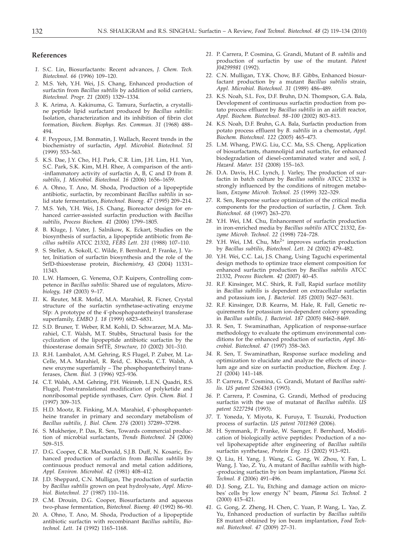#### **References**

- *1.* S.C. Lin, Biosurfactants: Recent advances, *J. Chem. Tech. Biotechnol. 66* (1996) 109–120.
- *2.* M.S. Yeh, Y.H. Wei, J.S. Chang, Enhanced production of surfactin from *Bacillus subtilis* by addition of solid carriers, *Biotechnol. Progr. 21* (2005) 1329–1334.
- *3.* K. Arima, A. Kakinuma, G. Tamura, Surfactin, a crystalline peptide lipid surfactant produced by *Bacillus subtilis*: Isolation, characterization and its inhibition of fibrin clot formation*, Biochem. Biophys. Res. Commun. 31* (1968) 488– 494.
- *4.* F. Peypoux, J.M. Bonmatin, J. Wallach, Recent trends in the biochemistry of surfactin, *Appl. Microbiol. Biotechnol. 51* (1999) 553–563.
- *5.* K.S. Dae, J.Y. Cho, H.J. Park, C.R. Lim, J.H. Lim, H.I. Yun, S.C. Park, S.K. Kim, M.H. Rhee, A comparison of the anti- -inflammatory activity of surfactin A, B, C and D from *B. subtilis*, *J. Microbiol. Biotechnol. 16* (2006) 1656–1659.
- *6.* A. Ohno, T. Ano, M. Shoda, Production of a lipopeptide antibiotic, surfactin, by recombinant *Bacillus subtilis* in solid state fermentation, *Biotechnol. Bioeng. 47* (1995) 209–214.
- *7.* M.S. Yeh, Y.H. Wei, J.S. Chang, Bioreactor design for enhanced carrier-assisted surfactin production with *Bacillus subtilis*, *Process Biochem. 41* (2006) 1799–1805.
- *8.* B. Kluge, J. Vater, J. Salnikow, K. Eckart, Studies on the biosynthesis of surfactin, a lipopeptide antibiotic from *Bacillus subtilis* ATCC 21332, *FEBS Lett. 231* (1988) 107–110.
- *9.* S. Steller, A. Sokoll, C. Wilde, F. Bernhard, P. Franke, J. Vater, Initiation of surfactin biosynthesis and the role of the SrfD-thioesterase protein, *Biochemistry, 43* (2004) 11331– 11343.
- *10.* L.W. Hamoen, G. Venema, O.P. Kuipers, Controlling competence in *Bacillus subtilis*: Shared use of regulators, *Microbiology, 149* (2003) 9–17.
- *11.* K. Reuter, M.R. Mofid, M.A. Marahiel, R. Ficner, Crystal structure of the surfactin synthetase-activating enzyme Sfp: A prototype of the 4'-phosphopantetheinyl transferase superfamily, *EMBO J. 18* (1999) 6823–6831.
- *12.* S.D. Bruner, T. Weber, R.M. Kohli, D. Schwarzer, M.A. Marahiel, C.T. Walsh, M.T. Stubbs, Structural basis for the cyclization of the lipopeptide antibiotic surfactin by the thioesterase domain SrfTE, *Structure, 10* (2002) 301–310.
- *13.* R.H. Lambalot, A.M. Gehring, R.S Flugel, P. Zuber, M. La-Celle, M.A. Marahiel, R. Reid, C. Khosla, C.T. Walsh, A new enzyme superfamily – The phosphopantetheinyl transferases, *Chem. Biol. 3* (1996) 923*–*936*.*
- *14.* C.T. Walsh, A.M. Gehring, P.H. Weinreb, L.E.N. Quadri, R.S. Flugel, Post-translational modification of polyketide and nonribosomal peptide synthases, *Curr. Opin. Chem. Biol. 1* (1997) 309*–*315*.*
- *15.* H.D. Mootz, R. Finking, M.A. Marahiel, 4'-phosphopantetheine transfer in primary and secondary metabolism of *Bacillus subtilis*, *J. Biol. Chem. 276* (2001) 37289–37298.
- *16.* S. Mukherjee, P. Das, R. Sen, Towards commercial production of microbial surfactants, *Trends Biotechnol. 24* (2006) 509–515.
- *17.* D.G. Cooper, C.R. MacDonald, S.J.B. Duff, N. Kosaric, Enhanced production of surfactin from *Bacillus subtilis* by continuous product removal and metal cation additions, *Appl. Environ. Microbiol. 42* (1981) 408–412.
- *18.* J.D. Sheppard, C.N. Mulligan, The production of surfactin by *Bacillus subtilis* grown on peat hydrolysate, *Appl. Microbiol. Biotechnol. 27* (1987) 110–116.
- *19.* C.M. Drouin, D.G. Cooper, Biosurfactants and aqueous two-phase fermentation, *Biotechnol. Bioeng. 40* (1992) 86–90.
- *20.* A. Ohno, T. Ano, M. Shoda, Production of a lipopeptide antibiotic surfactin with recombinant *Bacillus subtilis, Biotechnol. Lett. 14* (1992) 1165–1168.
- *21.* P. Carrera*,* P. Cosmina, G. Grandi, Mutant of *B. subtilis* and production of surfactin by use of the mutant. *Patent J04299981* (1992).
- *22.* C.N. Mulligan, T.Y.K. Chow, B.F. Gibbs, Enhanced biosurfactant production by a mutant *Bacillus subtilis* strain, *Appl. Microbiol. Biotechnol. 31* (1989) 486–489.
- *23.* K.S. Noah, S.L. Fox, D.F. Bruhn, D.N. Thompson, G.A. Bala, Development of continuous surfactin production from potato process effluent by *Bacillus subtilis* in an airlift reactor, *Appl. Biochem. Biotechnol. 98–100* (2002) 803–813.
- *24.* K.S. Noah, D.F. Bruhn, G.A. Bala, Surfactin production from potato process effluent by *B. subtilis* in a chemostat, *Appl. Biochem. Biotechnol. 122* (2005) 465–473.
- *25.* L.M. Whang, P.W.G. Liu, C.C. Ma, S.S. Cheng, Application of biosurfactants, rhamnolipid and surfactin, for enhanced biodegradation of diesel-contaminated water and soil, *J. Hazard. Mater. 151* (2008) 155–163.
- *26.* D.A. Davis, H.C. Lynch, J. Varley, The production of surfactin in batch culture by *Bacillus subtilis* ATCC 21332 is strongly influenced by the conditions of nitrogen metabolism, *Enzyme Microb. Technol. 25* (1999) 322–329.
- *27.* R. Sen, Response surface optimization of the critical media components for the production of surfactin, *J. Chem. Tech. Biotechnol. 68* (1997) 263–270.
- *28.* Y.H. Wei, I.M. Chu, Enhancement of surfactin production in iron-enriched media by *Bacillus subtilis* ATCC 21332, *Enzyme Microb. Technol. 22* (1998) 724–728.
- 29. Y.H. Wei, I.M. Chu, Mn<sup>2+</sup> improves surfactin production by *Bacillus subtilis*, *Biotechnol. Lett. 24* (2002) 479–482.
- *30.* Y.H. Wei, C.C. Lai, J.S. Chang, Using Taguchi experimental design methods to optimize trace element composition for enhanced surfactin production by *Bacillus subtilis* ATCC 21332, *Process Biochem. 42* (2007) 40–45.
- *31.* R.F. Kinsinger, M.C. Shirk, R. Fall, Rapid surface motility in *Bacillus subtilis* is dependent on extracellular surfactin and potassium ion, *J. Bacteriol. 185* (2003) 5627–5631.
- *32.* R.F. Kinsinger, D.B. Kearns, M. Hale, R. Fall, Genetic requirements for potassium ion-dependent colony spreading in *Bacillus subtilis, J. Bacteriol. 187* (2005) 8462–8469.
- *33.* R. Sen, T. Swaminathan, Application of response-surface methodology to evaluate the optimum environmental conditions for the enhanced production of surfactin, *Appl. Microbiol. Biotechnol. 47* (1997) 358–363.
- *34.* R. Sen, T. Swaminathan, Response surface modeling and optimization to elucidate and analyze the effects of inoculum age and size on surfactin production, *Biochem. Eng. J. 21* (2004) 141–148.
- *35.* P. Carrera, P. Cosmina, G. Grandi, Mutant of *Bacillus subtilis*. *US patent 5264363* (1993).
- *36.* P. Carrera, P. Cosmina, G. Grandi, Method of producing surfactin with the use of mutanat of *Bacillus subtilis*. *US patent 5227294* (1993).
- *37.* T. Yoneda, Y. Miyota, K. Furuya, T. Tsuzuki, Production process of surfactin. *US patent 7011969* (2006).
- *38.* H. Symmank, P. Franke, W. Saenger, F. Bernhard, Modification of biologically active peptides: Production of a novel lipohexapeptide after engineering of *Bacillus subtilis* surfactin synthetase, *Protein Eng. 15* (2002) 913–921.
- *39.* Q. Liu, H. Yang, J. Wang, G. Gong, W. Zhou, Y. Fan, L. Wang, J. Yao, Z. Yu, A mutant of *Bacillus subtilis* with high- -producing surfactin by ion beam implantation, *Plasma Sci. Technol. 8* (2006) 491–496.
- *40.* D.J. Song, Z.L. Yu, Etching and damage action on microbes' cells by low energy N<sup>+</sup> beam, *Plasma Sci. Technol. 2* (2000) 415–421.
- *41.* G. Gong, Z. Zheng, H. Chen, C. Yuan, P. Wang, L. Yao, Z. Yu, Enhanced production of surfactin by *Bacillus subtilis* E8 mutant obtained by ion beam implantation, *Food Technol. Biotechnol. 47* (2009) 27–31.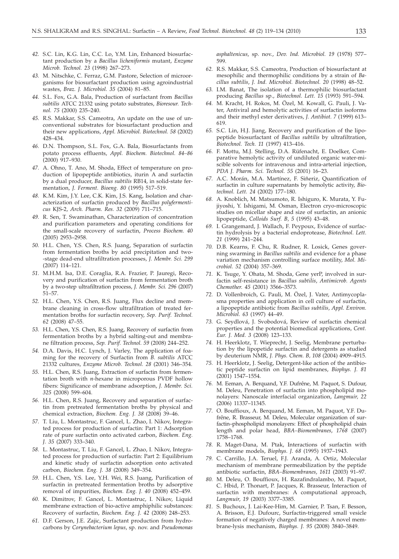- *42.* S.C. Lin, K.G. Lin, C.C. Lo, Y.M. Lin, Enhanced biosurfactant production by a *Bacillus licheniformis* mutant, *Enzyme Microb. Technol. 23* (1998) 267–273.
- *43.* M. Nitschke, C. Ferraz, G.M. Pastore, Selection of microorganisms for biosurfactant production using agroindustrial wastes, *Braz. J. Microbiol. 35* (2004) 81–85.
- *44.* S.L. Fox, G.A. Bala, Production of surfactant from *Bacillus subtilis* ATCC 21332 using potato substrates, *Bioresour. Technol. 75* (2000) 235–240.
- *45.* R.S. Makkar, S.S. Cameotra, An update on the use of unconventional substrates for biosurfactant production and their new applications, *Appl. Microbiol. Biotechnol. 58* (2002) 428–434.
- *46.* D.N. Thompson, S.L. Fox, G.A. Bala, Biosurfactants from potato process effluents, *Appl. Biochem. Biotechnol. 84–86* (2000) 917–930.
- *47.* A. Ohno, T. Ano, M. Shoda, Effect of temperature on production of lipopeptide antibiotics, iturin A and surfactin by a dual producer, *Bacillus subtilis* RB14, in solid-state fermentation, *J. Ferment. Bioeng. 80* (1995) 517–519.
- *48.* K.M. Kim, J.Y. Lee, C.K. Kim, J.S. Kang, Isolation and characterization of surfactin produced by *Bacillus polyfermenticus* KJS-2, *Arch. Pharm. Res. 32* (2009) 711–715*.*
- *49.* R. Sen, T. Swaminathan, Characterization of concentration and purification parameters and operating conditions for the small-scale recovery of surfactin, *Process Biochem. 40* (2005) 2953–2958.
- *50.* H.L. Chen, Y.S. Chen, R.S. Juang, Separation of surfactin from fermentation broths by acid precipitation and two- -stage dead-end ultrafiltration processes, *J. Membr. Sci. 299* (2007) 114–121.
- *51.* M.H.M. Isa, D.E. Coraglia, R.A. Frazier, P. Jauregi, Recovery and purification of surfactin from fermentation broth by a two-step ultrafiltration process, *J. Membr. Sci. 296* (2007) 51–57.
- *52.* H.L. Chen, Y.S. Chen, R.S. Juang, Flux decline and membrane cleaning in cross-flow ultrafiltration of treated fermentation broths for surfactin recovery, *Sep. Purif. Technol. 62* (2008) 47–55.
- *53.* H.L. Chen, Y.S. Chen, R.S. Juang, Recovery of surfactin from fermentation broths by a hybrid salting-out and membrane filtration process, *Sep. Purif. Technol. 59* (2008) 244–252.
- *54.* D.A. Davis, H.C. Lynch, J. Varley, The application of foaming for the recovery of Surfactin from *B. subtilis* ATCC 21332 cultures, *Enzyme Microb. Technol. 28* (2001) 346–354.
- *55.* H.L. Chen, R.S. Juang, Extraction of surfactin from fermentation broth with *n*-hexane in microporous PVDF hollow fibers: Significance of membrane adsorption, *J. Membr. Sci*. *325* (2008) 599–604.
- *56.* H.L. Chen, R.S. Juang, Recovery and separation of surfactin from pretreated fermentation broths by physical and chemical extraction, *Biochem. Eng. J. 38* (2008) 39–46.
- *57.* T. Liu, L. Montastruc, F. Gancel, L. Zhao, I. Nikov, Integrated process for production of surfactin: Part 1: Adsorption rate of pure surfactin onto activated carbon, *Biochem. Eng. J. 35* (2007) 333–340.
- *58.* L. Montastruc, T. Liu, F. Gancel, L. Zhao, I. Nikov, Integrated process for production of surfactin: Part 2: Equilibrium and kinetic study of surfactin adsorption onto activated carbon, *Biochem. Eng. J. 38* (2008) 349–354.
- *59.* H.L. Chen, Y.S. Lee, Y.H. Wei, R.S. Juang, Purification of surfactin in pretreated fermentation broths by adsorptive removal of impurities, *Biochem. Eng. J. 40* (2008) 452–459.
- *60.* K. Dimitrov, F. Gancel, L. Montastruc, I. Nikov, Liquid membrane extraction of bio-active amphiphilic substances: Recovery of surfactin, *Biochem. Eng. J. 42* (2008) 248–253.
- *61.* D.F. Gerson, J.E. Zajic, Surfactant production from hydrocarbons by *Corynebacterium lepus*, sp. nov. and *Pseudomonas*

*asphaltenicus*, sp. nov., *Dev. Ind. Microbiol. 19* (1978) 577– 599.

- *62.* R.S. Makkar, S.S. Cameotra, Production of biosurfactant at mesophilic and thermophilic conditions by a strain of *Bacillus subtilis*, *J. Ind. Microbiol. Biotechnol. 20* (1998) 48–52.
- *63.* I.M. Banat, The isolation of a thermophilic biosurfactant producing *Bacillus* sp., *Biotechnol. Lett. 15* (1993) 591–594.
- *64.* M. Kracht, H. Rokos, M. Özel, M. Kowall, G. Pauli, J. Vater, Antiviral and hemolytic activities of surfactin isoforms and their methyl ester derivatives, *J. Antibiot. 7* (1999) 613– 619.
- *65.* S.C. Lin, H.J. Jiang, Recovery and purification of the lipopeptide biosurfactant of *Bacillus subtilis* by ultrafiltration, *Biotechnol. Tech. 11* (1997) 413–416.
- *66.* F. Mottu, M.J. Stelling, D.A. Rüfenacht, E. Doelker, Comparative hemolytic activity of undiluted organic water-miscible solvents for intravenous and intra-arterial injection, *PDA J. Pharm. Sci. Technol. 55* (2001) 16–23.
- *67.* A.C. Morán, M.A. Martínez, F. Siñeriz, Quantification of surfactin in culture supernatants by hemolytic activity, *Biotechnol. Lett. 24* (2002) 177–180.
- *68.* A. Knoblich, M. Matsumoto, R. Ishiguro, K. Murata, Y. Fujiyoshi, Y. Ishigami, M. Osman, Electron cryo-microscopic studies on micellar shape and size of surfactin, an anionic lipopeptide, *Colloids Surf. B, 5* (1995) 43–48.
- *69.* I. Grangemard, J. Wallach, F. Peypoux, Evidence of surfactin hydrolysis by a bacterial endoprotease, *Biotechnol. Lett. 21* (1999) 241–244.
- *70.* D.B. Kearns, F. Chu, R. Rudner, R. Losick, Genes governing swarming in *Bacillus subtilis* and evidence for a phase variation mechanism controlling surface motility, *Mol. Microbiol. 52* (2004) 357–369.
- *71.* K. Tsuge, Y. Ohata, M. Shoda, Gene yerP, involved in surfactin self-resistance in *Bacillus subtilis*, *Antimicrob. Agents Chemother. 45* (2001) 3566–3573.
- *72.* D. Vollenbroich, G. Pauli, M. Özel, J. Vater, Antimycoplasma properties and application in cell culture of surfactin, a lipopeptide antibiotic from *Bacillus subtilis*, *Appl. Environ. Microbiol. 63* (1997) 44–49.
- *73.* G. Seydlová, J. Svobodová, Review of surfactin chemical properties and the potential biomedical applications, *Cent. Eur. J. Med. 3* (2008) 123–133.
- *74.* H. Heerklotz, T. Wieprecht, J. Seelig, Membrane perturbation by the lipopetide surfactin and detergents as studied by deuterium NMR, *J. Phys. Chem. B, 108* (2004) 4909–4915.
- *75.* H. Heerklotz, J. Seelig, Detergent-like action of the antibiotic peptide surfactin on lipid membranes, *Biophys. J. 81*  $(2001)$ <sup>1547–1554.</sup>
- *76.* M. Eeman, A. Berquand, Y.F. Dufrêne, M. Paquot, S. Dufour, M. Deleu, Penetration of surfactin into phospholipid monolayers: Nanoscale interfacial organization, *Langmuir, 22* (2006) 11337–11345.
- *77.* O. Bouffioux, A. Berquand, M. Eeman, M. Paquot, Y.F. Dufrêne, R. Brasseur, M. Deleu, Molecular organization of surfactin–phospholipid monolayers: Effect of phospholipid chain length and polar head, *BBA–Biomembranes*, *1768* (2007) 1758–1768.
- *78.* R. Maget-Dana, M. Ptak, Interactions of surfactin with membrane models, *Biophys. J. 68* (1995) 1937–1943.
- *79.* C. Carrillo, J.A. Teruel, F.J. Aranda, A. Ortiz, Molecular mechanism of membrane permeabilization by the peptide antibiotic surfactin, *BBA–Biomembranes*, *1611* (2003) 91–97.
- *80.* M. Deleu, O. Bouffioux, H. Razafindralambo, M. Paquot, C. Hbid, P. Thonart, P. Jacques, R. Brasseur, Interaction of surfactin with membranes: A computational approach, *Langmuir*, *19* (2003) 3377–3385.
- *81.* S. Buchoux, J. Lai-Kee-Him, M. Garnier, P. Tsan, F. Besson, A. Brisson, E.J. Dufourc, Surfactin-triggered small vesicle formation of negatively charged membranes: A novel membrane-lysis mechanism, *Biophys. J. 95* (2008) 3840–3849.